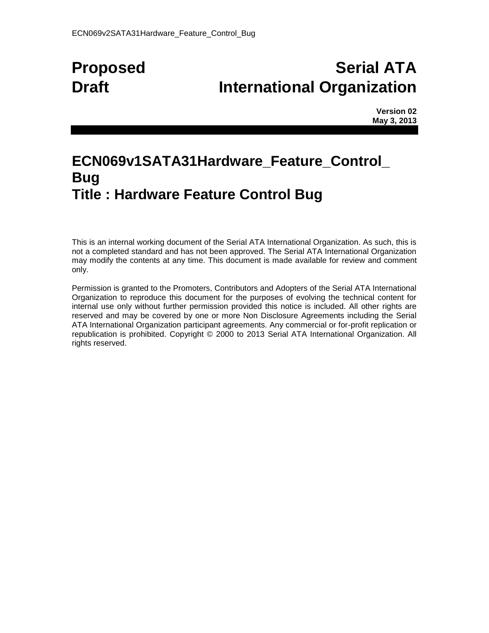# **Proposed Serial ATA Draft International Organization**

**Version 02 May 3, 2013**

# **ECN069v1SATA31Hardware\_Feature\_Control\_ Bug Title : Hardware Feature Control Bug**

This is an internal working document of the Serial ATA International Organization. As such, this is not a completed standard and has not been approved. The Serial ATA International Organization may modify the contents at any time. This document is made available for review and comment only.

Permission is granted to the Promoters, Contributors and Adopters of the Serial ATA International Organization to reproduce this document for the purposes of evolving the technical content for internal use only without further permission provided this notice is included. All other rights are reserved and may be covered by one or more Non Disclosure Agreements including the Serial ATA International Organization participant agreements. Any commercial or for-profit replication or republication is prohibited. Copyright © 2000 to 2013 Serial ATA International Organization. All rights reserved.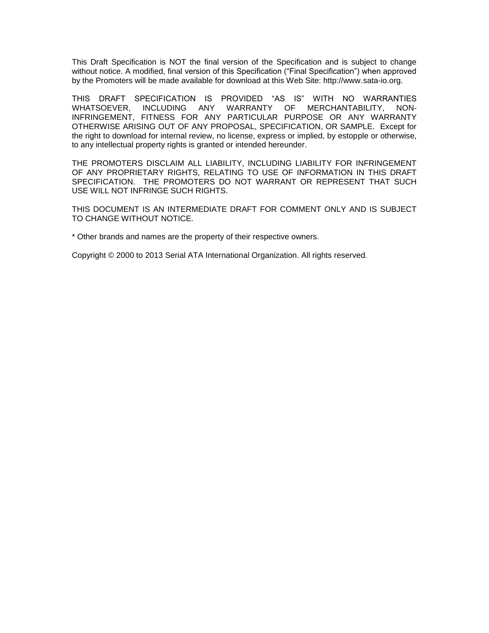This Draft Specification is NOT the final version of the Specification and is subject to change without notice. A modified, final version of this Specification ("Final Specification") when approved by the Promoters will be made available for download at this Web Site: http://www.sata-io.org.

THIS DRAFT SPECIFICATION IS PROVIDED "AS IS" WITH NO WARRANTIES WHATSOEVER, INCLUDING ANY WARRANTY OF MERCHANTABILITY, NON-INFRINGEMENT, FITNESS FOR ANY PARTICULAR PURPOSE OR ANY WARRANTY OTHERWISE ARISING OUT OF ANY PROPOSAL, SPECIFICATION, OR SAMPLE. Except for the right to download for internal review, no license, express or implied, by estopple or otherwise, to any intellectual property rights is granted or intended hereunder.

THE PROMOTERS DISCLAIM ALL LIABILITY, INCLUDING LIABILITY FOR INFRINGEMENT OF ANY PROPRIETARY RIGHTS, RELATING TO USE OF INFORMATION IN THIS DRAFT SPECIFICATION. THE PROMOTERS DO NOT WARRANT OR REPRESENT THAT SUCH USE WILL NOT INFRINGE SUCH RIGHTS.

THIS DOCUMENT IS AN INTERMEDIATE DRAFT FOR COMMENT ONLY AND IS SUBJECT TO CHANGE WITHOUT NOTICE.

\* Other brands and names are the property of their respective owners.

Copyright © 2000 to 2013 Serial ATA International Organization. All rights reserved.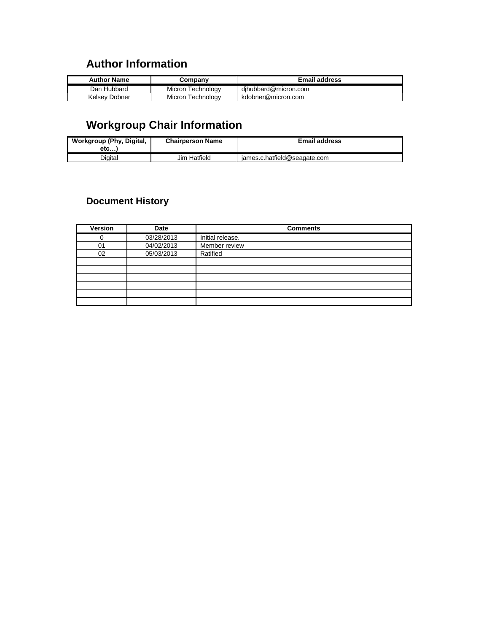# **Author Information**

| <b>Author Name</b> | こompanv           | <b>Email address</b> |
|--------------------|-------------------|----------------------|
| Dan Hubbard        | Micron Technology | dihubbard@micron.com |
| Kelsev Dobner      | Micron Technology | kdobner@micron.com   |

# **Workgroup Chair Information**

| Workgroup (Phy, Digital,<br>etc | <b>Chairperson Name</b> | <b>Email address</b>         |
|---------------------------------|-------------------------|------------------------------|
| Diaital                         | Jim Hatfield            | james.c.hatfield@seagate.com |

## **Document History**

| <b>Version</b> | Date       | <b>Comments</b>  |
|----------------|------------|------------------|
|                | 03/28/2013 | Initial release. |
| 01             | 04/02/2013 | Member review    |
| 02             | 05/03/2013 | Ratified         |
|                |            |                  |
|                |            |                  |
|                |            |                  |
|                |            |                  |
|                |            |                  |
|                |            |                  |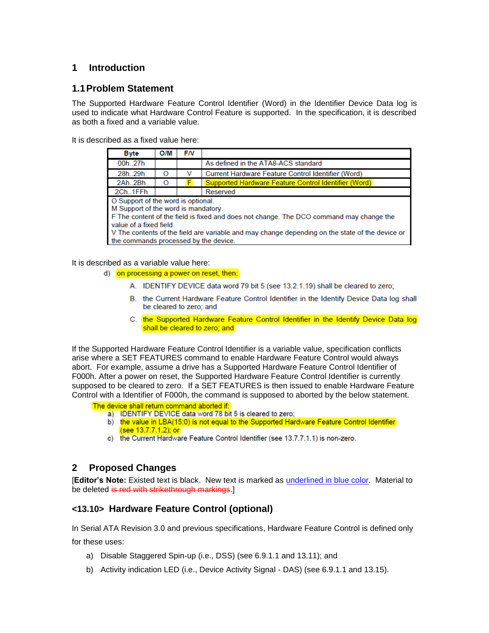## **1 Introduction**

### **1.1Problem Statement**

The Supported Hardware Feature Control Identifier (Word) in the Identifier Device Data log is used to indicate what Hardware Control Feature is supported. In the specification, it is described as both a fixed and a variable value.

It is described as a fixed value here:

| <b>Byte</b>                                                                                                                                                                                                                                                                                                                                 | O/M | <b>FN</b> |                                                      |  |
|---------------------------------------------------------------------------------------------------------------------------------------------------------------------------------------------------------------------------------------------------------------------------------------------------------------------------------------------|-----|-----------|------------------------------------------------------|--|
| 00h27h                                                                                                                                                                                                                                                                                                                                      |     |           | As defined in the ATA8-ACS standard                  |  |
| 28h29h                                                                                                                                                                                                                                                                                                                                      | O   |           | Current Hardware Feature Control Identifier (Word)   |  |
| 2Ah2Bh                                                                                                                                                                                                                                                                                                                                      | O   |           | Supported Hardware Feature Control Identifier (Word) |  |
| 2Ch., 1FFh                                                                                                                                                                                                                                                                                                                                  |     |           | Reserved                                             |  |
| O Support of the word is optional.<br>M Support of the word is mandatory.<br>F The content of the field is fixed and does not change. The DCO command may change the<br>value of a fixed field.<br>V The contents of the field are variable and may change depending on the state of the device or<br>the commands processed by the device. |     |           |                                                      |  |

It is described as a variable value here:

- d) on processing a power on reset, then:
	- A. IDENTIFY DEVICE data word 79 bit 5 (see 13.2.1.19) shall be cleared to zero;
	- B. the Current Hardware Feature Control Identifier in the Identify Device Data log shall be cleared to zero; and
	- C. the Supported Hardware Feature Control Identifier in the Identify Device Data log shall be cleared to zero; and

If the Supported Hardware Feature Control Identifier is a variable value, specification conflicts arise where a SET FEATURES command to enable Hardware Feature Control would always abort. For example, assume a drive has a Supported Hardware Feature Control Identifier of F000h. After a power on reset, the Supported Hardware Feature Control Identifier is currently supposed to be cleared to zero. If a SET FEATURES is then issued to enable Hardware Feature Control with a Identifier of F000h, the command is supposed to aborted by the below statement.

The device shall return command aborted if:

- a) IDENTIFY DEVICE data word 78 bit 5 is cleared to zero;
- b) the value in LBA(15:0) is not equal to the Supported Hardware Feature Control Identifier (see 13.7.7.1.2); or
- c) the Current Hardware Feature Control Identifier (see 13.7.7.1.1) is non-zero.

#### **2 Proposed Changes**

[**Editor's Note:** Existed text is black. New text is marked as underlined in blue color. Material to be deleted is red with strikethrough markings.]

## **<13.10> Hardware Feature Control (optional)**

In Serial ATA Revision 3.0 and previous specifications, Hardware Feature Control is defined only

for these uses:

- a) Disable Staggered Spin-up (i.e., DSS) (see 6.9.1.1 and 13.11); and
- b) Activity indication LED (i.e., Device Activity Signal DAS) (see 6.9.1.1 and 13.15).